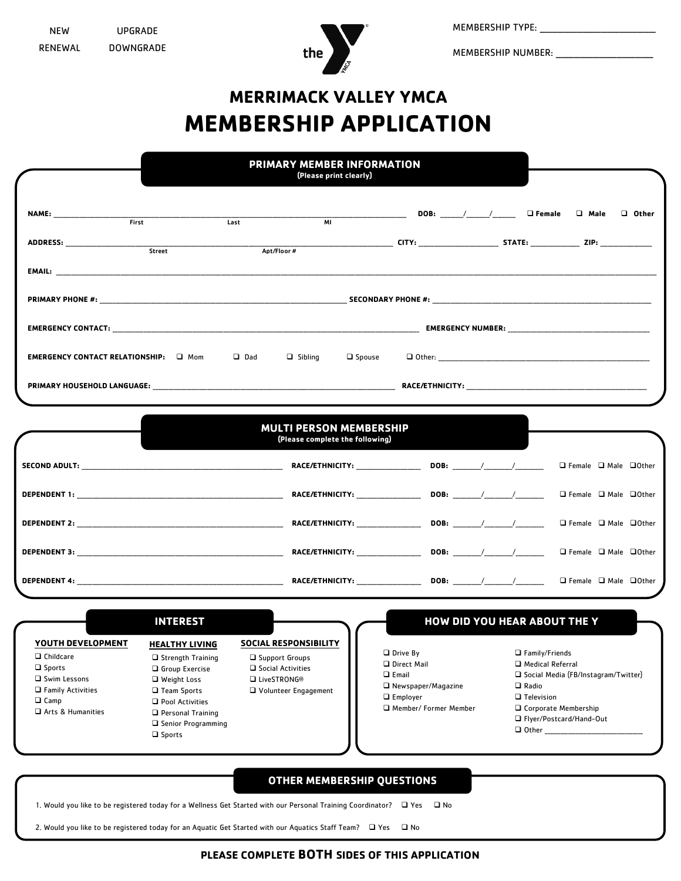

MEMBERSHIP TYPE: \_\_\_\_\_\_\_\_\_\_\_\_\_\_\_\_\_\_\_

MEMBERSHIP NUMBER: \_\_\_\_\_\_\_\_\_\_\_\_\_\_\_\_

## **MERRIMACK VALLEY YMCA MEMBERSHIP APPLICATION**

|                                                                                                                                           |                                                                                                                                                                                                |                                                          | <b>PRIMARY MEMBER INFORMATION</b><br>(Please print clearly)                                                    |                                                                       |                                                    |  |                                                                                                                                                                                  |                                        |              |
|-------------------------------------------------------------------------------------------------------------------------------------------|------------------------------------------------------------------------------------------------------------------------------------------------------------------------------------------------|----------------------------------------------------------|----------------------------------------------------------------------------------------------------------------|-----------------------------------------------------------------------|----------------------------------------------------|--|----------------------------------------------------------------------------------------------------------------------------------------------------------------------------------|----------------------------------------|--------------|
|                                                                                                                                           | First                                                                                                                                                                                          | Last                                                     | $\overline{M}$                                                                                                 |                                                                       |                                                    |  |                                                                                                                                                                                  |                                        | $\Box$ Other |
|                                                                                                                                           |                                                                                                                                                                                                |                                                          |                                                                                                                |                                                                       |                                                    |  |                                                                                                                                                                                  |                                        |              |
|                                                                                                                                           | Street                                                                                                                                                                                         | Apt/Floor #                                              | ______________________________ CITY: _________________________STATE: _____________________ZIP: _______________ |                                                                       |                                                    |  |                                                                                                                                                                                  |                                        |              |
|                                                                                                                                           |                                                                                                                                                                                                |                                                          |                                                                                                                |                                                                       |                                                    |  |                                                                                                                                                                                  |                                        |              |
|                                                                                                                                           |                                                                                                                                                                                                |                                                          |                                                                                                                |                                                                       |                                                    |  |                                                                                                                                                                                  |                                        |              |
|                                                                                                                                           |                                                                                                                                                                                                |                                                          |                                                                                                                |                                                                       |                                                    |  |                                                                                                                                                                                  |                                        |              |
| <b>EMERGENCY CONTACT RELATIONSHIP:</b> $\Box$ Mom $\Box$ Dad $\Box$ Sibling                                                               |                                                                                                                                                                                                |                                                          | $\square$ Spouse                                                                                               |                                                                       |                                                    |  |                                                                                                                                                                                  |                                        |              |
|                                                                                                                                           |                                                                                                                                                                                                |                                                          |                                                                                                                |                                                                       |                                                    |  |                                                                                                                                                                                  |                                        |              |
|                                                                                                                                           |                                                                                                                                                                                                |                                                          |                                                                                                                |                                                                       |                                                    |  |                                                                                                                                                                                  |                                        |              |
|                                                                                                                                           |                                                                                                                                                                                                |                                                          | <b>MULTI PERSON MEMBERSHIP</b><br>(Please complete the following)                                              |                                                                       |                                                    |  |                                                                                                                                                                                  |                                        |              |
|                                                                                                                                           |                                                                                                                                                                                                |                                                          |                                                                                                                |                                                                       |                                                    |  |                                                                                                                                                                                  | $\Box$ Female $\Box$ Male $\Box$ Other |              |
|                                                                                                                                           |                                                                                                                                                                                                |                                                          |                                                                                                                |                                                                       |                                                    |  |                                                                                                                                                                                  | $\Box$ Female $\Box$ Male $\Box$ Other |              |
|                                                                                                                                           |                                                                                                                                                                                                |                                                          |                                                                                                                |                                                                       |                                                    |  |                                                                                                                                                                                  | $\Box$ Female $\Box$ Male $\Box$ Other |              |
|                                                                                                                                           |                                                                                                                                                                                                |                                                          |                                                                                                                |                                                                       |                                                    |  |                                                                                                                                                                                  | $\Box$ Female $\Box$ Male $\Box$ Other |              |
|                                                                                                                                           |                                                                                                                                                                                                |                                                          |                                                                                                                |                                                                       |                                                    |  |                                                                                                                                                                                  | $\Box$ Female $\Box$ Male $\Box$ Other |              |
|                                                                                                                                           | <b>INTEREST</b>                                                                                                                                                                                |                                                          |                                                                                                                |                                                                       |                                                    |  | HOW DID YOU HEAR ABOUT THE Y                                                                                                                                                     |                                        |              |
| YOUTH DEVELOPMENT<br>$\Box$ Childcare<br>$\square$ Sports<br>Swim Lessons<br>$\Box$ Family Activities<br>$\Box$ Camp<br>Arts & Humanities | <b>HEALTHY LIVING</b><br>$\Box$ Strength Training<br>Group Exercise<br>Weight Loss<br>□ Team Sports<br>Pool Activities<br>$\Box$ Personal Training<br>□ Senior Programming<br>$\square$ Sports | □ Support Groups<br>□ Social Activities<br>□ LiveSTRONG® | <b>SOCIAL RESPONSIBILITY</b><br>Volunteer Engagement                                                           | $\sqcup$ Drive By<br>D Direct Mail<br>$\Box$ Email<br>$\Box$ Employer | $\Box$ Newspaper/Magazine<br>Member/ Former Member |  | $\Box$ Family/Friends<br>□ Medical Referral<br>□ Social Media (FB/Instagram/Twitter)<br>$\Box$ Radio<br>$\Box$ Television<br>□ Corporate Membership<br>□ Flyer/Postcard/Hand-Out |                                        |              |

1. Would you like to be registered today for a Wellness Get Started with our Personal Training Coordinator?  $\Box$  Yes  $\Box$  No

2. Would you like to be registered today for an Aquatic Get Started with our Aquatics Staff Team?  $\Box$  Yes  $\Box$  No